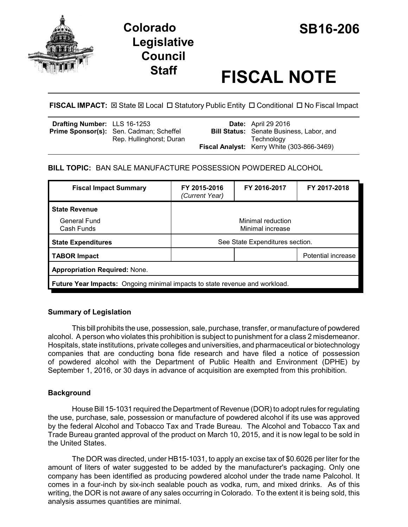



# **Staff FISCAL NOTE**

**FISCAL IMPACT:**  $\boxtimes$  State  $\boxtimes$  Local  $\Box$  Statutory Public Entity  $\Box$  Conditional  $\Box$  No Fiscal Impact

| Drafting Number: LLS 16-1253 |                                                | <b>Date:</b> April 29 2016                      |
|------------------------------|------------------------------------------------|-------------------------------------------------|
|                              | <b>Prime Sponsor(s):</b> Sen. Cadman; Scheffel | <b>Bill Status:</b> Senate Business, Labor, and |
|                              | Rep. Hullinghorst; Duran                       | Technoloav                                      |
|                              |                                                | Fiscal Analyst: Kerry White (303-866-3469)      |

## **BILL TOPIC:** BAN SALE MANUFACTURE POSSESSION POWDERED ALCOHOL

| <b>Fiscal Impact Summary</b>                                                | FY 2015-2016<br>(Current Year)        | FY 2016-2017 | FY 2017-2018              |  |  |
|-----------------------------------------------------------------------------|---------------------------------------|--------------|---------------------------|--|--|
| <b>State Revenue</b>                                                        |                                       |              |                           |  |  |
| General Fund<br>Cash Funds                                                  | Minimal reduction<br>Minimal increase |              |                           |  |  |
| <b>State Expenditures</b>                                                   | See State Expenditures section.       |              |                           |  |  |
| <b>TABOR Impact</b>                                                         |                                       |              | <b>Potential increase</b> |  |  |
| <b>Appropriation Required: None.</b>                                        |                                       |              |                           |  |  |
| Future Year Impacts: Ongoing minimal impacts to state revenue and workload. |                                       |              |                           |  |  |

## **Summary of Legislation**

This bill prohibits the use, possession, sale, purchase, transfer, or manufacture of powdered alcohol. A person who violates this prohibition is subject to punishment for a class 2 misdemeanor. Hospitals, state institutions, private colleges and universities, and pharmaceutical or biotechnology companies that are conducting bona fide research and have filed a notice of possession of powdered alcohol with the Department of Public Health and Environment (DPHE) by September 1, 2016, or 30 days in advance of acquisition are exempted from this prohibition.

## **Background**

House Bill 15-1031 required the Department of Revenue (DOR) to adopt rules for regulating the use, purchase, sale, possession or manufacture of powdered alcohol if its use was approved by the federal Alcohol and Tobacco Tax and Trade Bureau. The Alcohol and Tobacco Tax and Trade Bureau granted approval of the product on March 10, 2015, and it is now legal to be sold in the United States.

The DOR was directed, under HB15-1031, to apply an excise tax of \$0.6026 per liter for the amount of liters of water suggested to be added by the manufacturer's packaging. Only one company has been identified as producing powdered alcohol under the trade name Palcohol. It comes in a four-inch by six-inch sealable pouch as vodka, rum, and mixed drinks. As of this writing, the DOR is not aware of any sales occurring in Colorado. To the extent it is being sold, this analysis assumes quantities are minimal.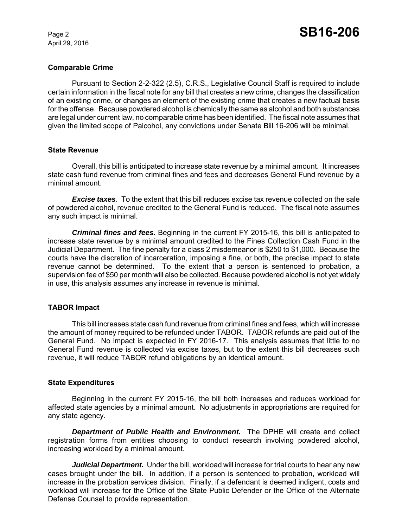April 29, 2016

## **Comparable Crime**

Pursuant to Section 2-2-322 (2.5), C.R.S., Legislative Council Staff is required to include certain information in the fiscal note for any bill that creates a new crime, changes the classification of an existing crime, or changes an element of the existing crime that creates a new factual basis for the offense. Because powdered alcohol is chemically the same as alcohol and both substances are legal under current law, no comparable crime has been identified. The fiscal note assumes that given the limited scope of Palcohol, any convictions under Senate Bill 16-206 will be minimal.

#### **State Revenue**

Overall, this bill is anticipated to increase state revenue by a minimal amount. It increases state cash fund revenue from criminal fines and fees and decreases General Fund revenue by a minimal amount.

*Excise taxes*. To the extent that this bill reduces excise tax revenue collected on the sale of powdered alcohol, revenue credited to the General Fund is reduced. The fiscal note assumes any such impact is minimal.

*Criminal fines and fees.* Beginning in the current FY 2015-16, this bill is anticipated to increase state revenue by a minimal amount credited to the Fines Collection Cash Fund in the Judicial Department. The fine penalty for a class 2 misdemeanor is \$250 to \$1,000. Because the courts have the discretion of incarceration, imposing a fine, or both, the precise impact to state revenue cannot be determined. To the extent that a person is sentenced to probation, a supervision fee of \$50 per month will also be collected. Because powdered alcohol is not yet widely in use, this analysis assumes any increase in revenue is minimal.

## **TABOR Impact**

This bill increases state cash fund revenue from criminal fines and fees, which will increase the amount of money required to be refunded under TABOR. TABOR refunds are paid out of the General Fund. No impact is expected in FY 2016-17. This analysis assumes that little to no General Fund revenue is collected via excise taxes, but to the extent this bill decreases such revenue, it will reduce TABOR refund obligations by an identical amount.

#### **State Expenditures**

Beginning in the current FY 2015-16, the bill both increases and reduces workload for affected state agencies by a minimal amount. No adjustments in appropriations are required for any state agency.

*Department of Public Health and Environment.* The DPHE will create and collect registration forms from entities choosing to conduct research involving powdered alcohol, increasing workload by a minimal amount.

*Judicial Department.* Under the bill, workload will increase for trial courts to hear any new cases brought under the bill. In addition, if a person is sentenced to probation, workload will increase in the probation services division. Finally, if a defendant is deemed indigent, costs and workload will increase for the Office of the State Public Defender or the Office of the Alternate Defense Counsel to provide representation.